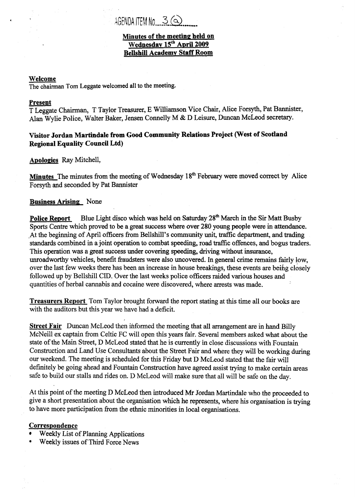# AGENDA ITEM No  $3$  ( $\odot$

#### **Minutes of the meeting: held on**   $\overline{\text{Wednesday 15}}^{\text{th}}$  April 2009 **Bellshill Academv Staff Room**

#### **Welcome**

,

The chairman Tom Leggate welcomed all to the **meeting,** 

#### **Present**

T Leggate Chairman, T Taylor Treasurer, E Williamson Vice Chair, Mice Forsyth, Pat Bannister, Alan Wylie Police, Walter Baker, Jensen Connelly **M** & D Leisure, Duncan McLeod secretary.

### **Visitor Jordan Martindale from Good Community Relations Project (West of Scotland Regional Equality Council Ltd)**

**ADologies** Ray Mitchell,

**Minutes** The minutes fiom the meeting of Wednesday **1 8'h** February were moved correct by **Mice**  Forsyth and seconded by Pat Bannister

#### **Business Arising** None

**Police Report**  Sports Centre which proved to be a great success where over **280** young people were in attendance. At the beginning of April officers from Bellshill's community unit, traffic department, and trading standards combined in a joint operation to combat speeding, road traffic offences, and bogus traders. This operation was a great success under covering *speeding,* **driving** without insurance, unroadworthy vehicles, benefit fraudsters were also uncovered. In general crime remains fairly low, over the last few weeks there has been **an** increase in house breakings, these events are beifig closely followed up by Bellshill CID. Over the last weeks police officers raided various houses and quantities of herbal cannabis and cocaine were discovered, where arrests was made. Blue Light disco which was held on Saturday **28fh** March **in** the **Sir Matt** Busby

**Treasurers Report** Tom Taylor brought forward the report stating at this time all our **books** are with the auditors but this year we have had a deficit.

**Street Fair** Duncan McLeod then informed the meeting that all arrangement are in hand Billy McNeill ex captain fiom Celtic FC will open this years **fair.** Several members **asked** what about **the**  state of the Main Street, D McLeod stated that he is currently in close discussions with Fountain Construction and Land Use Consultants about the Street Fair and where they will be working during our weekend. The meeting is scheduled for this Friday but D McLeod stated that the fair will definitely be going ahead and Fountain Construction have agreed assist trying to make certain areas safe to build our stalls and rides on. D McLeod will make sure that all will be safe on the day.

At this point of the meeting D McLeod then introduced Mr Jordan Martindale who the proceeded to give a short presentation about the organisation which he represents, where his organisation is trying to have more participation from the ethnic minorities in local organisations.

#### **Correspondence**

- Weekly List **of** Planning Applications
- Weekly issues of Third Force News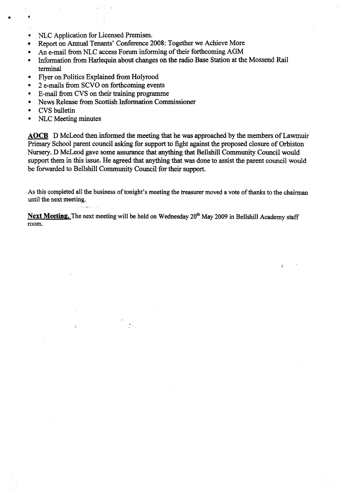- *0*  NLC Application for Licensed Premises.
- Report on *hual* Tenants' Conference 2008: Together we Achieve More  $\bullet$
- *0*  An e-mail from NLC access **Forum informing of** their forthcoming AGM
- *0*  Information from Harlequin about changes on the radio Base Station at the Mossend Rail terminal
- *0*  Flyer on Politics Explained **from** Holyrood
- *0*  2 e-mails from SCVO **on** forthcoming events
- *0*  E-mail from CVS on their training programme
- *0*  News Release **from** Scottish Information Commissioner
- *0*  CVS bulletin

**a** 

*0*  NLC **Meeting** minutes

Figure on Follocs Explained Hom Holylood<br>
• 2 e-mails from SCVO on forthcoming events<br>
• E-mail from CVS on their training programme<br>
• News Release from Scottish Information Commissioner<br>
• CVS bulletin<br>
• NLC Meeting min Primary School parent council asking for support to fight against the proposed closure of Orbiston Nursery. D McLeod gave some assurance that anything **that** Bellshill Community Council would support them in this issue. He agreed that anything that was done **to assist** the parent council would be forwarded to Bellshill Community Council **for** their support.

**As this completed all the business** of **tonight's meeting the treasurer moved a vote** of **thanks to the chairman**  until **the next meeting.** 

*I'* 

**Next Meeting. The next meeting will be held on Wednesday 20" May 2009** in **Bellshill Academy staff**  room.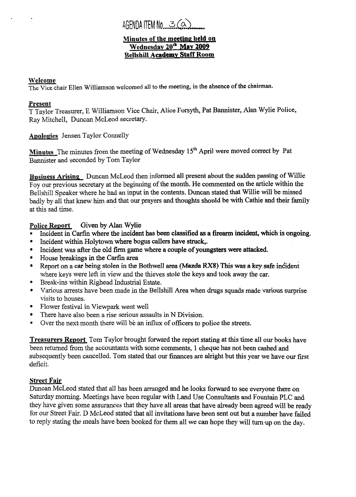## AGENDA ITEM No 3 Ca

#### **Minutes of the meeting held on** Wednesday 20<sup>th</sup> May 2009 **Bellshill Academy Staff Room**

#### **Welcome**

The Vice chair Ellen Williamson welcomed all to the meeting, in the absence of the chairman.

### **Present**

T Taylor Treasurer, E Williamson Vice Chair, Mice Forsyth, Pat Bannister, **Alan** Wylie Police, Ray Mitchell, Duncan McLeod secretary.

**Apologies** Jensen Taylor Connelly

**Minutes** The minutes fiom the meeting of Wednesday **15'h** April were moved correct by Pat Bannister and seconded by Tom Taylor

**Business Arising** Duncan McLeod then informed all present about the sudden passing of Willie Foy our previous secretary at the beginning of the month. He commented on the article within the Bellshill Speaker where he had an input **in** the contents. Duncan stated that Willie will be missed badly by all that knew him and that our prayers **and** thoughts should be with Cathie and their family at this sad time.

#### **Police Report** Given by Alan Wylie

- *0*  Incident in Carfin where the incident has been classified **as** a **firearm** incident, which **is** ongoing.
- Incident within HoIytown where bogus callers have struck.
- Incident was after the old firm game where a couple of youngsters were attacked.  $\bullet$
- House breakings *in* the Carfin area  $\bullet$
- Report on a car being stolen in the Bothwell area (Mazda **RX8)** This was a key safe indident  $\bullet$ where keys were left in view and the thieves stole the keys and took away the car.
- *0*  Break-ins within Righead Industrial Estate.
- Various arrests have been made in the Bellshill Area when **drugs** squads made various surprise visits to houses.
- Flower festival in Viewpark went well  $\bullet$
- There have also been a rise serious assaults in N Division.
- **a**  Over the next month there will be an influx of officers to police the streets.

**Treasurers Report** Tom Taylor brought forward the report stating at this time all our books have been returned fiom the accountants with some comments, 1 cheque **has** not been cashed and subsequently been cancelled. Tom stated that our finances are alright but this year we have our first deficit.

### **Street Fair**

Duncan McLeod stated that all has been **arranged** and he looks forward to see everyone there on Saturday morning. Meetings have been regular with Land Use Consultants and Fountain PLC and they have given some assurances that they have all areas that have already been agreed **will** be ready for our Street Fair. D McLeod stated that all invitations have been sent out but a number have failed to reply stating the meals have been booked for them all we can hope they will turn up on the day.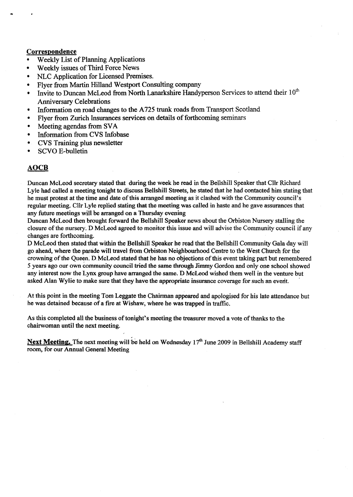#### **Correspondence**

- Weekly List of Planning Applications *<sup>0</sup>*
- *0*  Weekly issues of Third Force News
- **a**  NLC Application for Licensed Premises.
- *0*  Flyer from **Martin** Hilland Westport Consulting company
- *0*  hvite to Duncan McLeod from North Lanarkshire Handyperson Services to attend their 1 **O\***  Anniversary Celebrations
- *0*  Information on road changes to the A725 trunk **roads** from Transport Scotland
- *0*  Flyer from Zurich Insurances services on details of forthcoming seminars
- *0*  Meeting agendas from SVA
- *0*  Information from CVS Infobase
- *0*  CVS Training plus newsletter
- *0*  SCVO E-bulletin

#### **AOCB**

Duncan McLeod secretary stated that during the week he read in the Bellshill Speaker that Cllr Richard Lyle had called a meeting tonight to discuss Bellshill Streets, he stated that he had contacted him stating that he must protest at the time and date of this arranged meeting **as** it clashed with the Community council's regular meeting. **Cllr** Lyle replied stating that the meeting was called in haste and he gave assurances that any future meetings will be arranged on a Thursday evening

Duncan McLeod then brought forward the Bellshill Speaker news about the Orbiston Nursery stalling the closure of the nursery. D McLeod agreed to monitor this issue and will advise the Community council if any changes are forthcoming.

D McLeod then stated that within **the** Bellshill Speaker he read that the **Betlshill** Community Gala day **wili**  go ahead, where the parade will travel **from** Orbiston Neighbourhood Centre to the West Church for the crowning of the Queen. D McLeod stated that he has no objections of this event taking part but remembered *<sup>5</sup>*years ago our own **Community** council tried the same **through finmy** Gordon and **uniy** one school showed any interest now the Lynx group have arranged the same. D **McLeod** wished them well in the venture but asked Alan Wylie to make sure that they have the appropriate insurance coverage for such an evedt. '

At this point in the meeting Tom Leggate the Chairman appeared **and** apologised for his late attendance but he was detained because of a fire at Wishaw, where he was trapped in traffic.

As this completed all the business of tonight's meeting the treasurer moved a vote of thanks to the chairwoman until the next meeting.

Next Meeting. The next meeting will be held on Wednesday 17<sup>th</sup> June 2009 in Bellshill Academy staff room, for **our** Annual General Meeting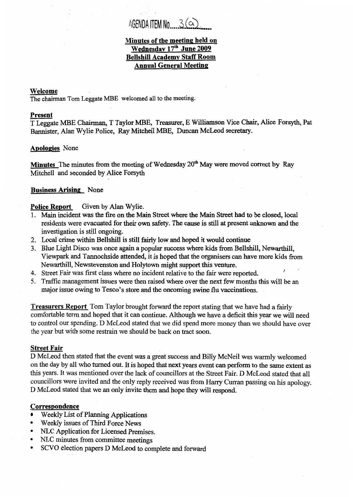# AGENDA ITEM No  $3$  ( $\alpha$ )

#### **Minutes of the meeting held on**  Wednesday 17<sup>th</sup> June 2009 **Bellshill Academv Staff Room Annual General Meeting**

#### **Welcome**

**The** chairman Tom Leggate MBE welcomed all to the meeting.

#### **Present**

T Lemate **MBE Chairman,** T Taylor **MBE, Treasurer,** E Williamson Vice **Chair,** Afice Forsyth, Pat Bannister, Alan Wylie Police, Ray Mitchell MBE, Duncan McLeod secretary.

#### **Apologies** None

**Minutes** The minutes from the meeting of Wednesday 20<sup>th</sup> May were moved correct by Ray Mitchell and seconded by Mice Forsyth

#### **Business Arising** None

#### **Police Report**  Given by Alan Wylie.

- 1. Main incident was the fire on the Main Street where the Main Street had to be closed, local residents were evacuated for their own safety. The **cause is** still **at** present unknown and the investigation is still ongoing.
- **2.** Local crime within Bellshill is still **fairly** low and **hoped** it would continue
- **3.** Blue Light Disco was once *again* **a** popular success where **kids** from Bellshill, Newarthill, Viewpark and Tannochside attended, it is hoped that the organisers can have more kids from Newarthill, Newstevenston and Holytown might support this venture.

*I* 

- **4.** Street Fair was first class where no incident relative to the fair were reported.
- 5. Traffic management issues were then raised where over the next few months this will be an major issue owing to Tesco's store **and** the **oncoming** swine flu vaccinations.

**Treasurers Report** Tom Taylor brought forward the report stating that we have had **a** fairly comfortable term and hoped that it can continue. Although we have a deficit this year we will need to control our spending. D McLeod stated that we did spend more money than **we** should have over the year but With some restrain we should be back on tract soon.

#### **Street Fair**

D McLeod then stated that the event was a great success and Billy McNeil was warmly welcomed on the day by all who turned out. It is hoped that next years event can perform to the same extent as this years. It was mentioned over the **lack** of councillors at the Street Fair. **D** McLeod stated that all councillors were invited and the only reply received was from Harry Curran passing on his apology. D McLeod stated that we **an** only invite them and **hope** they will respond-

#### **Correspondence**

- Weekly List of Planning Applications  $\bullet$
- Weekly issues of Third Force News
- \* **NLC** Application **for** Licensed Premises.
- *<sup>0</sup>***NLC** minutes from committee meetings
- \* **SCVO** election papers **D** McLeod to complete and forward